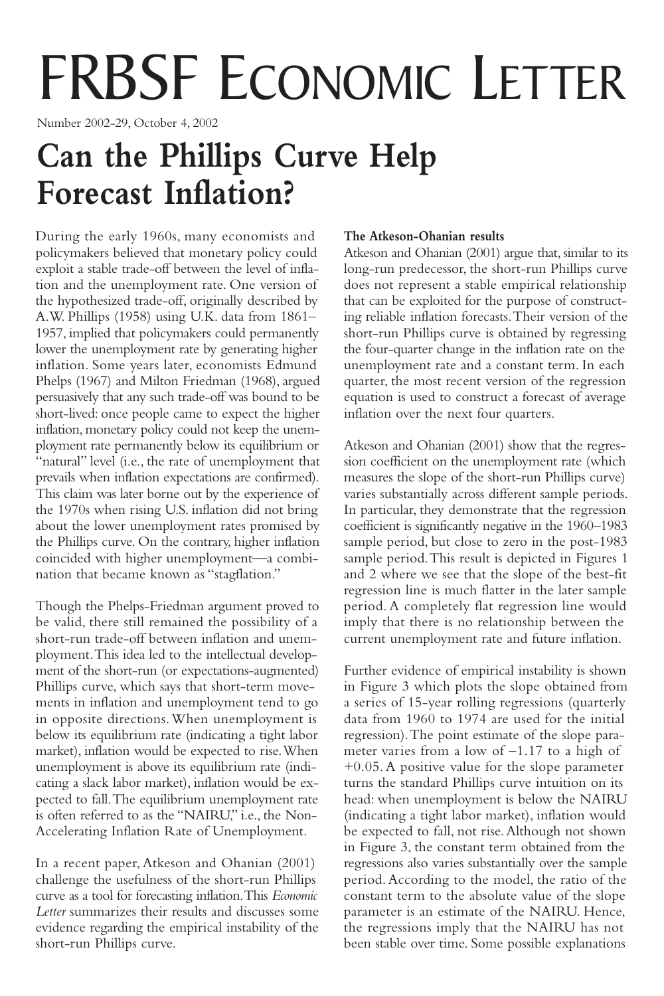# FRBSF ECONOMIC LETTER

Number 2002-29, October 4, 2002

## **Can the Phillips Curve Help Forecast Inflation?**

During the early 1960s, many economists and policymakers believed that monetary policy could exploit a stable trade-off between the level of inflation and the unemployment rate. One version of the hypothesized trade-off, originally described by A.W. Phillips (1958) using U.K. data from 1861– 1957, implied that policymakers could permanently lower the unemployment rate by generating higher inflation. Some years later, economists Edmund Phelps (1967) and Milton Friedman (1968), argued persuasively that any such trade-off was bound to be short-lived: once people came to expect the higher inflation, monetary policy could not keep the unemployment rate permanently below its equilibrium or "natural" level (i.e., the rate of unemployment that prevails when inflation expectations are confirmed). This claim was later borne out by the experience of the 1970s when rising U.S. inflation did not bring about the lower unemployment rates promised by the Phillips curve. On the contrary, higher inflation coincided with higher unemployment—a combination that became known as "stagflation."

Though the Phelps-Friedman argument proved to be valid, there still remained the possibility of a short-run trade-off between inflation and unemployment.This idea led to the intellectual development of the short-run (or expectations-augmented) Phillips curve, which says that short-term movements in inflation and unemployment tend to go in opposite directions.When unemployment is below its equilibrium rate (indicating a tight labor market), inflation would be expected to rise.When unemployment is above its equilibrium rate (indicating a slack labor market), inflation would be expected to fall.The equilibrium unemployment rate is often referred to as the "NAIRU," i.e., the Non-Accelerating Inflation Rate of Unemployment.

In a recent paper, Atkeson and Ohanian (2001) challenge the usefulness of the short-run Phillips curve as a tool for forecasting inflation.This *Economic Letter* summarizes their results and discusses some evidence regarding the empirical instability of the short-run Phillips curve.

#### **The Atkeson-Ohanian results**

Atkeson and Ohanian (2001) argue that, similar to its long-run predecessor, the short-run Phillips curve does not represent a stable empirical relationship that can be exploited for the purpose of constructing reliable inflation forecasts.Their version of the short-run Phillips curve is obtained by regressing the four-quarter change in the inflation rate on the unemployment rate and a constant term. In each quarter, the most recent version of the regression equation is used to construct a forecast of average inflation over the next four quarters.

Atkeson and Ohanian (2001) show that the regression coefficient on the unemployment rate (which measures the slope of the short-run Phillips curve) varies substantially across different sample periods. In particular, they demonstrate that the regression coefficient is significantly negative in the 1960–1983 sample period, but close to zero in the post-1983 sample period.This result is depicted in Figures 1 and 2 where we see that the slope of the best-fit regression line is much flatter in the later sample period. A completely flat regression line would imply that there is no relationship between the current unemployment rate and future inflation.

Further evidence of empirical instability is shown in Figure 3 which plots the slope obtained from a series of 15-year rolling regressions (quarterly data from 1960 to 1974 are used for the initial regression).The point estimate of the slope parameter varies from a low of –1.17 to a high of +0.05. A positive value for the slope parameter turns the standard Phillips curve intuition on its head: when unemployment is below the NAIRU (indicating a tight labor market), inflation would be expected to fall, not rise.Although not shown in Figure 3, the constant term obtained from the regressions also varies substantially over the sample period. According to the model, the ratio of the constant term to the absolute value of the slope parameter is an estimate of the NAIRU. Hence, the regressions imply that the NAIRU has not been stable over time. Some possible explanations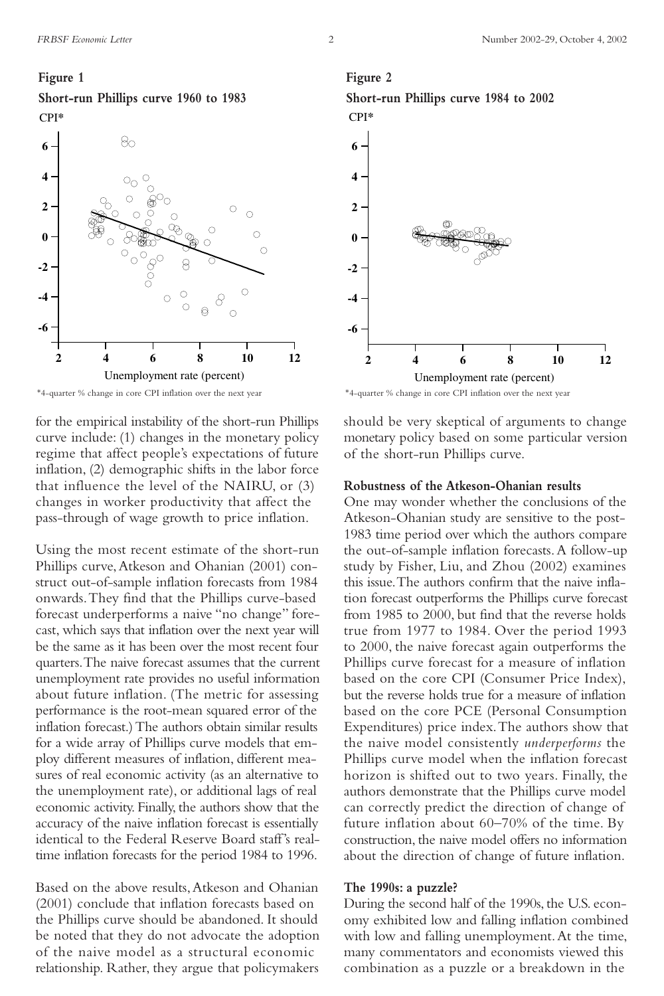#### **Figure 1**





for the empirical instability of the short-run Phillips curve include: (1) changes in the monetary policy regime that affect people's expectations of future inflation, (2) demographic shifts in the labor force that influence the level of the NAIRU, or (3) changes in worker productivity that affect the pass-through of wage growth to price inflation.

Using the most recent estimate of the short-run Phillips curve, Atkeson and Ohanian (2001) construct out-of-sample inflation forecasts from 1984 onwards.They find that the Phillips curve-based forecast underperforms a naive "no change" forecast, which says that inflation over the next year will be the same as it has been over the most recent four quarters.The naive forecast assumes that the current unemployment rate provides no useful information about future inflation. (The metric for assessing performance is the root-mean squared error of the inflation forecast.) The authors obtain similar results for a wide array of Phillips curve models that employ different measures of inflation, different measures of real economic activity (as an alternative to the unemployment rate), or additional lags of real economic activity. Finally, the authors show that the accuracy of the naive inflation forecast is essentially identical to the Federal Reserve Board staff's realtime inflation forecasts for the period 1984 to 1996.

Based on the above results,Atkeson and Ohanian (2001) conclude that inflation forecasts based on the Phillips curve should be abandoned. It should be noted that they do not advocate the adoption of the naive model as a structural economic relationship. Rather, they argue that policymakers

### **Figure 2**





\*4-quarter % change in core CPI inflation over the next year \*4-quarter % change in core CPI inflation over the next year

should be very skeptical of arguments to change monetary policy based on some particular version of the short-run Phillips curve.

#### **Robustness of the Atkeson-Ohanian results**

One may wonder whether the conclusions of the Atkeson-Ohanian study are sensitive to the post-1983 time period over which the authors compare the out-of-sample inflation forecasts.A follow-up study by Fisher, Liu, and Zhou (2002) examines this issue.The authors confirm that the naive inflation forecast outperforms the Phillips curve forecast from 1985 to 2000, but find that the reverse holds true from 1977 to 1984. Over the period 1993 to 2000, the naive forecast again outperforms the Phillips curve forecast for a measure of inflation based on the core CPI (Consumer Price Index), but the reverse holds true for a measure of inflation based on the core PCE (Personal Consumption Expenditures) price index.The authors show that the naive model consistently *underperforms* the Phillips curve model when the inflation forecast horizon is shifted out to two years. Finally, the authors demonstrate that the Phillips curve model can correctly predict the direction of change of future inflation about 60–70% of the time. By construction, the naive model offers no information about the direction of change of future inflation.

#### **The 1990s: a puzzle?**

During the second half of the 1990s, the U.S. economy exhibited low and falling inflation combined with low and falling unemployment.At the time, many commentators and economists viewed this combination as a puzzle or a breakdown in the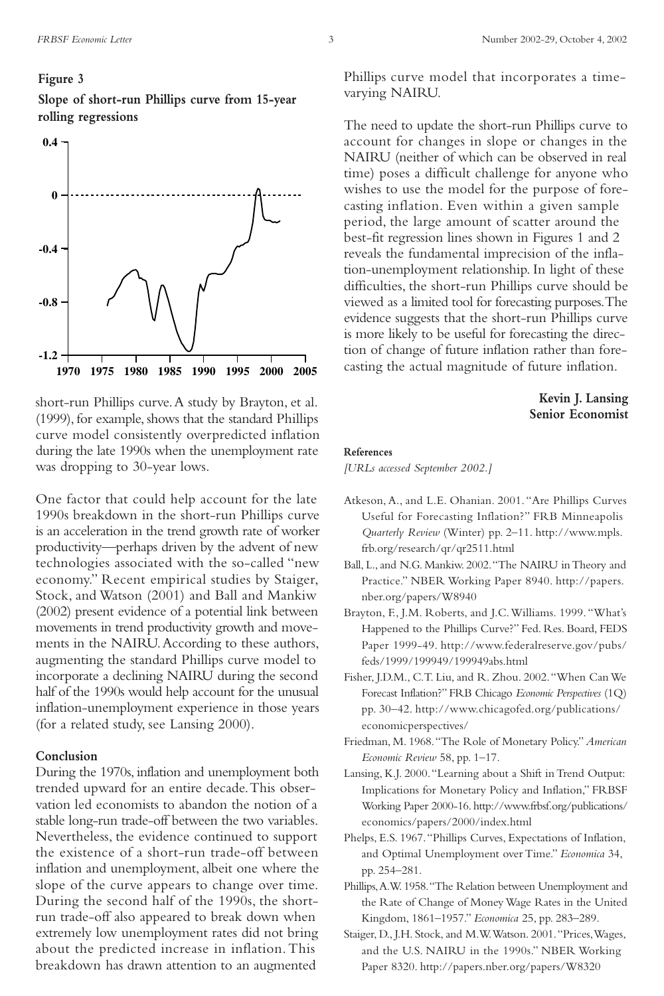#### **Figure 3**

**Slope of short-run Phillips curve from 15-year rolling regressions**



short-run Phillips curve.A study by Brayton, et al. (1999), for example, shows that the standard Phillips curve model consistently overpredicted inflation during the late 1990s when the unemployment rate was dropping to 30-year lows.

One factor that could help account for the late 1990s breakdown in the short-run Phillips curve is an acceleration in the trend growth rate of worker productivity—perhaps driven by the advent of new technologies associated with the so-called "new economy." Recent empirical studies by Staiger, Stock, and Watson (2001) and Ball and Mankiw (2002) present evidence of a potential link between movements in trend productivity growth and movements in the NAIRU.According to these authors, augmenting the standard Phillips curve model to incorporate a declining NAIRU during the second half of the 1990s would help account for the unusual inflation-unemployment experience in those years (for a related study, see Lansing 2000).

#### **Conclusion**

During the 1970s, inflation and unemployment both trended upward for an entire decade.This observation led economists to abandon the notion of a stable long-run trade-off between the two variables. Nevertheless, the evidence continued to support the existence of a short-run trade-off between inflation and unemployment, albeit one where the slope of the curve appears to change over time. During the second half of the 1990s, the shortrun trade-off also appeared to break down when extremely low unemployment rates did not bring about the predicted increase in inflation.This breakdown has drawn attention to an augmented

Phillips curve model that incorporates a timevarying NAIRU.

The need to update the short-run Phillips curve to account for changes in slope or changes in the NAIRU (neither of which can be observed in real time) poses a difficult challenge for anyone who wishes to use the model for the purpose of forecasting inflation. Even within a given sample period, the large amount of scatter around the best-fit regression lines shown in Figures 1 and 2 reveals the fundamental imprecision of the inflation-unemployment relationship. In light of these difficulties, the short-run Phillips curve should be viewed as a limited tool for forecasting purposes.The evidence suggests that the short-run Phillips curve is more likely to be useful for forecasting the direction of change of future inflation rather than forecasting the actual magnitude of future inflation.

#### **Kevin J. Lansing Senior Economist**

#### **References**

*[URLs accessed September 2002.]*

- Atkeson, A., and L.E. Ohanian. 2001."Are Phillips Curves Useful for Forecasting Inflation?" FRB Minneapolis *Quarterly Review* (Winter) pp. 2–11. http://www.mpls. frb.org/research/qr/qr2511.html
- Ball, L., and N.G. Mankiw. 2002."The NAIRU in Theory and Practice." NBER Working Paper 8940. http://papers. nber.org/papers/W8940
- Brayton, F., J.M. Roberts, and J.C.Williams. 1999."What's Happened to the Phillips Curve?" Fed. Res. Board, FEDS Paper 1999-49. http://www.federalreserve.gov/pubs/ feds/1999/199949/199949abs.html
- Fisher, J.D.M., C.T. Liu, and R. Zhou. 2002."When Can We Forecast Inflation?" FRB Chicago *Economic Perspectives* (1Q) pp. 30–42. http://www.chicagofed.org/publications/ economicperspectives/
- Friedman, M. 1968."The Role of Monetary Policy." *American Economic Review* 58, pp. 1–17.
- Lansing, K.J. 2000."Learning about a Shift in Trend Output: Implications for Monetary Policy and Inflation," FRBSF Working Paper 2000-16. http://www.frbsf.org/publications/ economics/papers/2000/index.html
- Phelps, E.S. 1967."Phillips Curves, Expectations of Inflation, and Optimal Unemployment over Time." *Economica* 34, pp. 254–281.
- Phillips,A.W. 1958."The Relation between Unemployment and the Rate of Change of Money Wage Rates in the United Kingdom, 1861–1957." *Economica* 25, pp. 283–289.
- Staiger, D., J.H. Stock, and M.W.Watson. 2001."Prices,Wages, and the U.S. NAIRU in the 1990s." NBER Working Paper 8320. http://papers.nber.org/papers/W8320